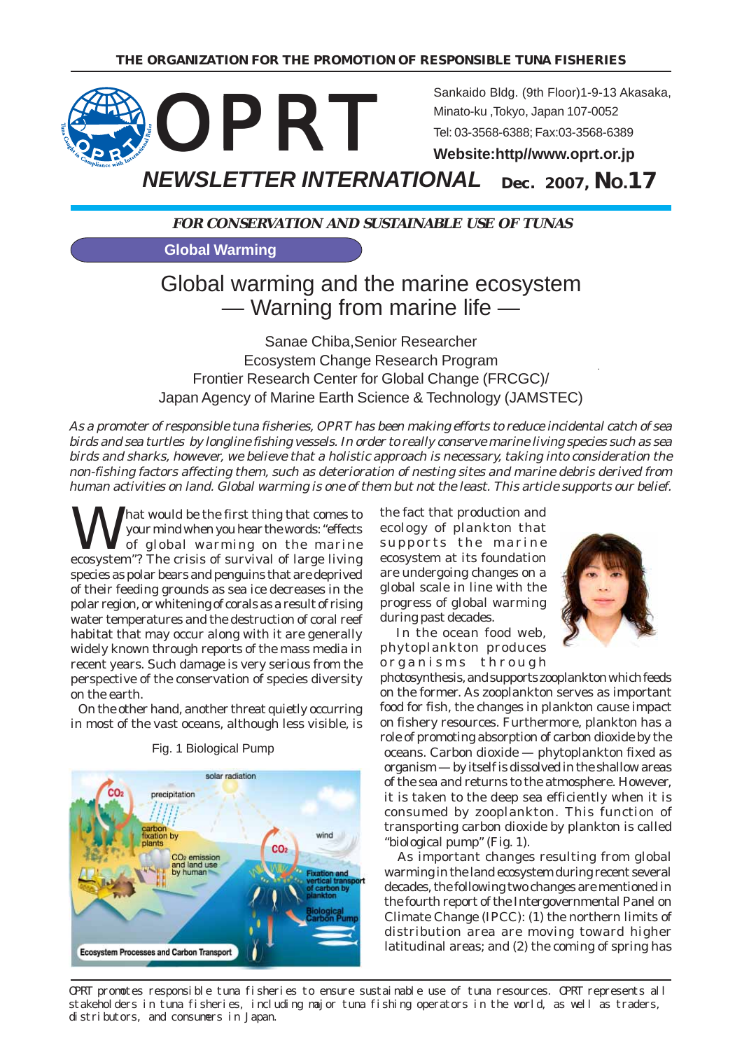

**FOR CONSERVATION AND SUSTAINABLE USE OF TUNAS**

**Global Warming**

## Global warming and the marine ecosystem — Warning from marine life —

Sanae Chiba,Senior Researcher Ecosystem Change Research Program Frontier Research Center for Global Change (FRCGC)/ Japan Agency of Marine Earth Science & Technology (JAMSTEC)

As a promoter of responsible tuna fisheries, OPRT has been making efforts to reduce incidental catch of sea birds and sea turtles by longline fishing vessels. In order to really conserve marine living species such as sea birds and sharks, however, we believe that a holistic approach is necessary, taking into consideration the non-fishing factors affecting them, such as deterioration of nesting sites and marine debris derived from human activities on land. Global warming is one of them but not the least. This article supports our belief.

What would be the first thing that comes to<br>your mind when you hear the words: "effects<br>of global warming on the marine your mind when you hear the words: "effects of global warming on the marine ecosystem"? The crisis of survival of large living species as polar bears and penguins that are deprived of their feeding grounds as sea ice decreases in the polar region, or whitening of corals as a result of rising water temperatures and the destruction of coral reef habitat that may occur along with it are generally widely known through reports of the mass media in recent years. Such damage is very serious from the perspective of the conservation of species diversity on the earth.

 On the other hand, another threat quietly occurring in most of the vast oceans, although less visible, is



Fig. 1 Biological Pump

the fact that production and ecology of plankton that supports the marine ecosystem at its foundation are undergoing changes on a global scale in line with the progress of global warming during past decades.



 In the ocean food web, phytoplankton produces organisms through photosynthesis, and supports zooplankton which feeds

on the former. As zooplankton serves as important food for fish, the changes in plankton cause impact on fishery resources. Furthermore, plankton has a role of promoting absorption of carbon dioxide by the oceans. Carbon dioxide — phytoplankton fixed as organism — by itself is dissolved in the shallow areas of the sea and returns to the atmosphere. However, it is taken to the deep sea efficiently when it is consumed by zooplankton. This function of transporting carbon dioxide by plankton is called "biological pump" (Fig. 1).

 As important changes resulting from global warming in the land ecosystem during recent several decades, the following two changes are mentioned in the fourth report of the Intergovernmental Panel on Climate Change (IPCC): (1) the northern limits of distribution area are moving toward higher latitudinal areas; and (2) the coming of spring has

OPRT promotes responsible tuna fisheries to ensure sustainable use of tuna resources. OPRT represents all stakeholders in tuna fisheries, including major tuna fishing operators in the world, as well as traders, distributors, and consumers in Japan.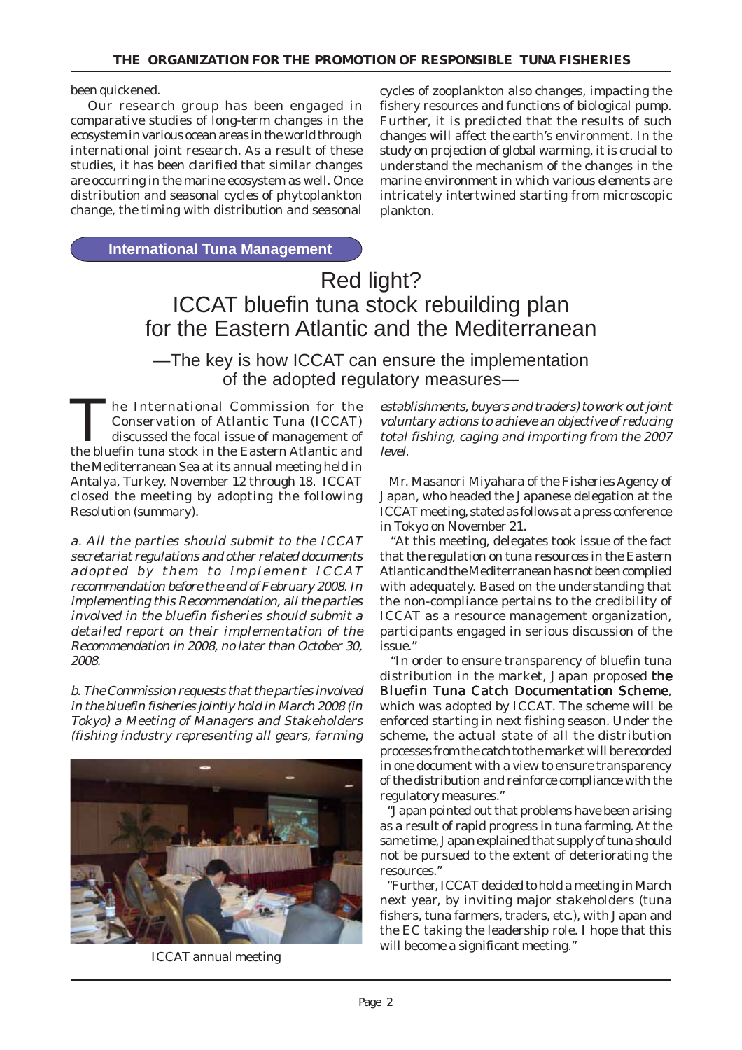been quickened.

 Our research group has been engaged in comparative studies of long-term changes in the ecosystem in various ocean areas in the world through international joint research. As a result of these studies, it has been clarified that similar changes are occurring in the marine ecosystem as well. Once distribution and seasonal cycles of phytoplankton change, the timing with distribution and seasonal

cycles of zooplankton also changes, impacting the fishery resources and functions of biological pump. Further, it is predicted that the results of such changes will affect the earth's environment. In the study on projection of global warming, it is crucial to understand the mechanism of the changes in the marine environment in which various elements are intricately intertwined starting from microscopic plankton.

**International Tuna Management**

# Red light? ICCAT bluefin tuna stock rebuilding plan for the Eastern Atlantic and the Mediterranean

—The key is how ICCAT can ensure the implementation of the adopted regulatory measures—

The International Commission for the Conservation of Atlantic Tuna (ICCAT) discussed the focal issue of management of the bluefin tuna stock in the Eastern Atlantic and the Mediterranean Sea at its annual meeting held in Antalya, Turkey, November 12 through 18. ICCAT closed the meeting by adopting the following Resolution (summary).

a. All the parties should submit to the ICCAT secretariat regulations and other related documents adopted by them to implement ICCAT recommendation before the end of February 2008. In implementing this Recommendation, all the parties involved in the bluefin fisheries should submit a detailed report on their implementation of the Recommendation in 2008, no later than October 30, 2008.

b. The Commission requests that the parties involved in the bluefin fisheries jointly hold in March 2008 (in Tokyo) a Meeting of Managers and Stakeholders (fishing industry representing all gears, farming



ICCAT annual meeting

establishments, buyers and traders) to work out joint voluntary actions to achieve an objective of reducing total fishing, caging and importing from the 2007 level.

 Mr. Masanori Miyahara of the Fisheries Agency of Japan, who headed the Japanese delegation at the ICCAT meeting, stated as follows at a press conference in Tokyo on November 21.

 "At this meeting, delegates took issue of the fact that the regulation on tuna resources in the Eastern Atlantic and the Mediterranean has not been complied with adequately. Based on the understanding that the non-compliance pertains to the credibility of ICCAT as a resource management organization, participants engaged in serious discussion of the issue."

 "In order to ensure transparency of bluefin tuna distribution in the market, Japan proposed the Bluefin Tuna Catch Documentation Scheme, which was adopted by ICCAT. The scheme will be enforced starting in next fishing season. Under the scheme, the actual state of all the distribution processes from the catch to the market will be recorded in one document with a view to ensure transparency of the distribution and reinforce compliance with the regulatory measures."

 "Japan pointed out that problems have been arising as a result of rapid progress in tuna farming. At the same time, Japan explained that supply of tuna should not be pursued to the extent of deteriorating the resources."

 "Further, ICCAT decided to hold a meeting in March next year, by inviting major stakeholders (tuna fishers, tuna farmers, traders, etc.), with Japan and the EC taking the leadership role. I hope that this will become a significant meeting."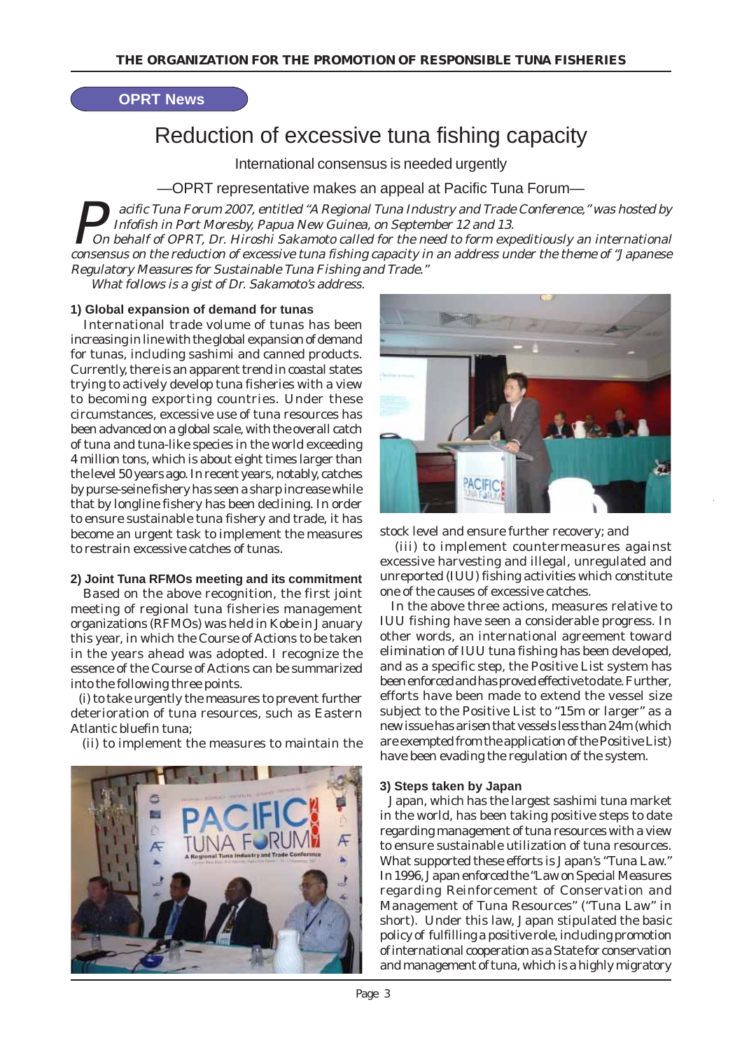### **OPRT News**

# Reduction of excessive tuna fishing capacity

International consensus is needed urgently

—OPRT representative makes an appeal at Pacific Tuna Forum—

acific Tuna Forum 2007, entitled "A Regional Tuna Industry and Trade Conference," was hosted by Infofish in Port Moresby, Papua New Guinea, on September 12 and 13. On behalf of OPRT, Dr. Hiroshi Sakamoto called for the need to form expeditiously an international

consensus on the reduction of excessive tuna fishing capacity in an address under the theme of "Japanese Regulatory Measures for Sustainable Tuna Fishing and Trade."

What follows is a gist of Dr. Sakamoto's address.

#### **1) Global expansion of demand for tunas**

 International trade volume of tunas has been increasing in line with the global expansion of demand for tunas, including sashimi and canned products. Currently, there is an apparent trend in coastal states trying to actively develop tuna fisheries with a view to becoming exporting countries. Under these circumstances, excessive use of tuna resources has been advanced on a global scale, with the overall catch of tuna and tuna-like species in the world exceeding 4 million tons, which is about eight times larger than the level 50 years ago. In recent years, notably, catches by purse-seine fishery has seen a sharp increase while that by longline fishery has been declining. In order to ensure sustainable tuna fishery and trade, it has become an urgent task to implement the measures to restrain excessive catches of tunas.

#### **2) Joint Tuna RFMOs meeting and its commitment**

 Based on the above recognition, the first joint meeting of regional tuna fisheries management organizations (RFMOs) was held in Kobe in January this year, in which the Course of Actions to be taken in the years ahead was adopted. I recognize the essence of the Course of Actions can be summarized into the following three points.

 (i) to take urgently the measures to prevent further deterioration of tuna resources, such as Eastern Atlantic bluefin tuna;

(ii) to implement the measures to maintain the





stock level and ensure further recovery; and

 (iii) to implement countermeasures against excessive harvesting and illegal, unregulated and unreported (IUU) fishing activities which constitute one of the causes of excessive catches.

 In the above three actions, measures relative to IUU fishing have seen a considerable progress. In other words, an international agreement toward elimination of IUU tuna fishing has been developed, and as a specific step, the Positive List system has been enforced and has proved effective to date. Further, efforts have been made to extend the vessel size subject to the Positive List to "15m or larger" as a new issue has arisen that vessels less than 24m (which are exempted from the application of the Positive List) have been evading the regulation of the system.

#### **3) Steps taken by Japan**

 Japan, which has the largest sashimi tuna market in the world, has been taking positive steps to date regarding management of tuna resources with a view to ensure sustainable utilization of tuna resources. What supported these efforts is Japan's "Tuna Law." In 1996, Japan enforced the "Law on Special Measures regarding Reinforcement of Conservation and Management of Tuna Resources" ("Tuna Law" in short). Under this law, Japan stipulated the basic policy of fulfilling a positive role, including promotion of international cooperation as a State for conservation and management of tuna, which is a highly migratory